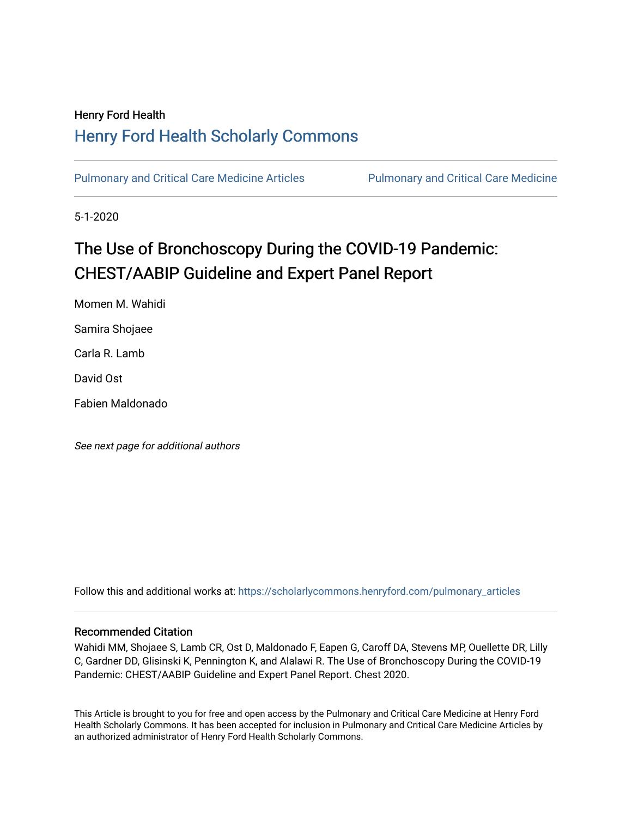# Henry Ford Health [Henry Ford Health Scholarly Commons](https://scholarlycommons.henryford.com/)

[Pulmonary and Critical Care Medicine Articles](https://scholarlycommons.henryford.com/pulmonary_articles) Pulmonary and Critical Care Medicine

5-1-2020

# The Use of Bronchoscopy During the COVID-19 Pandemic: CHEST/AABIP Guideline and Expert Panel Report

Momen M. Wahidi Samira Shojaee Carla R. Lamb David Ost Fabien Maldonado

See next page for additional authors

Follow this and additional works at: [https://scholarlycommons.henryford.com/pulmonary\\_articles](https://scholarlycommons.henryford.com/pulmonary_articles?utm_source=scholarlycommons.henryford.com%2Fpulmonary_articles%2F101&utm_medium=PDF&utm_campaign=PDFCoverPages)

### Recommended Citation

Wahidi MM, Shojaee S, Lamb CR, Ost D, Maldonado F, Eapen G, Caroff DA, Stevens MP, Ouellette DR, Lilly C, Gardner DD, Glisinski K, Pennington K, and Alalawi R. The Use of Bronchoscopy During the COVID-19 Pandemic: CHEST/AABIP Guideline and Expert Panel Report. Chest 2020.

This Article is brought to you for free and open access by the Pulmonary and Critical Care Medicine at Henry Ford Health Scholarly Commons. It has been accepted for inclusion in Pulmonary and Critical Care Medicine Articles by an authorized administrator of Henry Ford Health Scholarly Commons.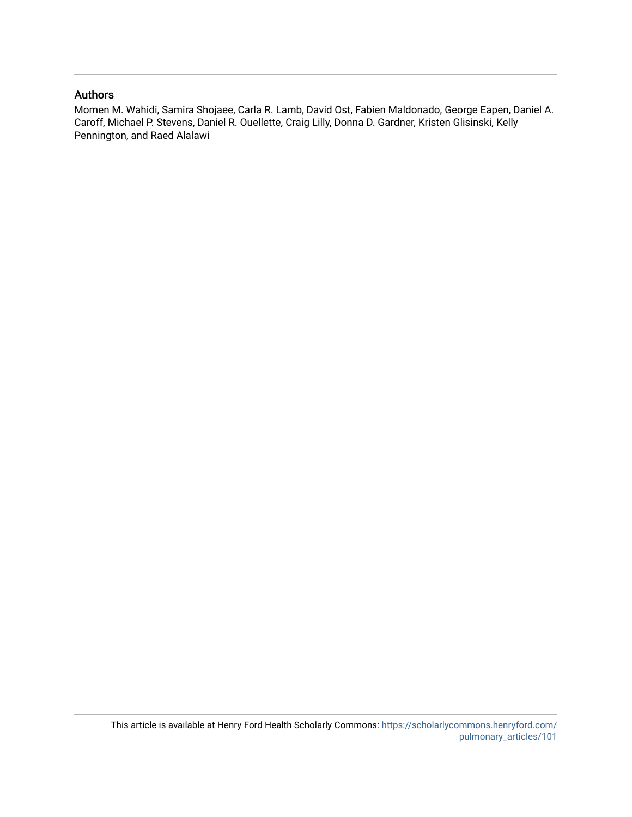### Authors

Momen M. Wahidi, Samira Shojaee, Carla R. Lamb, David Ost, Fabien Maldonado, George Eapen, Daniel A. Caroff, Michael P. Stevens, Daniel R. Ouellette, Craig Lilly, Donna D. Gardner, Kristen Glisinski, Kelly Pennington, and Raed Alalawi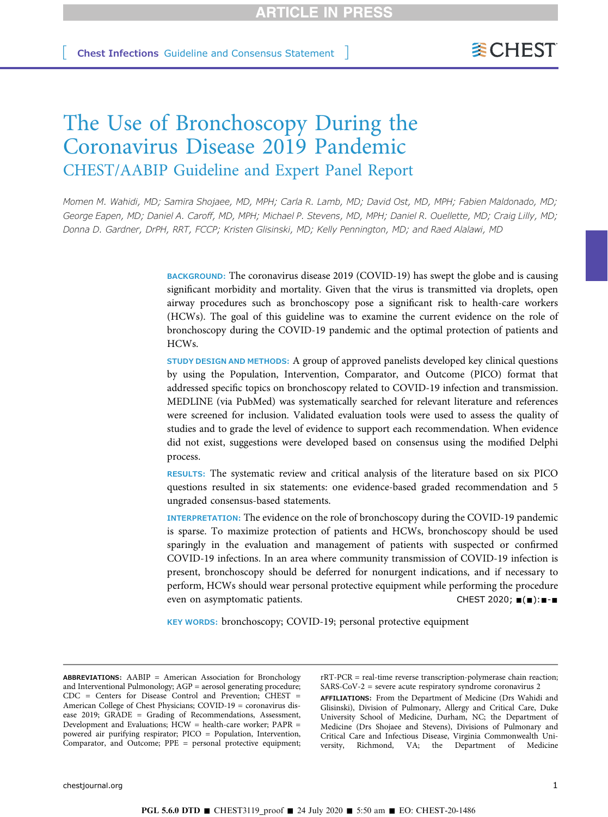# The Use of Bronchoscopy During the Coronavirus Disease 2019 Pandemic CHEST/AABIP Guideline and Expert Panel Report

Momen M. Wahidi, MD; Samira Shojaee, MD, MPH; Carla R. Lamb, MD; David Ost, MD, MPH; Fabien Maldonado, MD; George Eapen, MD; Daniel A. Caroff, MD, MPH; Michael P. Stevens, MD, MPH; Daniel R. Ouellette, MD; Craig Lilly, MD; Donna D. Gardner, DrPH, RRT, FCCP; Kristen Glisinski, MD; Kelly Pennington, MD; and Raed Alalawi, MD

> BACKGROUND: The coronavirus disease 2019 (COVID-19) has swept the globe and is causing significant morbidity and mortality. Given that the virus is transmitted via droplets, open airway procedures such as bronchoscopy pose a significant risk to health-care workers (HCWs). The goal of this guideline was to examine the current evidence on the role of bronchoscopy during the COVID-19 pandemic and the optimal protection of patients and HCWs.

> STUDY DESIGN AND METHODS: A group of approved panelists developed key clinical questions by using the Population, Intervention, Comparator, and Outcome (PICO) format that addressed specific topics on bronchoscopy related to COVID-19 infection and transmission. MEDLINE (via PubMed) was systematically searched for relevant literature and references were screened for inclusion. Validated evaluation tools were used to assess the quality of studies and to grade the level of evidence to support each recommendation. When evidence did not exist, suggestions were developed based on consensus using the modified Delphi process.

> RESULTS: The systematic review and critical analysis of the literature based on six PICO questions resulted in six statements: one evidence-based graded recommendation and 5 ungraded consensus-based statements.

> INTERPRETATION: The evidence on the role of bronchoscopy during the COVID-19 pandemic is sparse. To maximize protection of patients and HCWs, bronchoscopy should be used sparingly in the evaluation and management of patients with suspected or confirmed COVID-19 infections. In an area where community transmission of COVID-19 infection is present, bronchoscopy should be deferred for nonurgent indications, and if necessary to perform, HCWs should wear personal protective equipment while performing the procedure even on asymptomatic patients. CHEST 2020;  $\blacksquare(\blacksquare)$ :  $\blacksquare$

KEY WORDS: bronchoscopy; COVID-19; personal protective equipment

ABBREVIATIONS: AABIP = American Association for Bronchology and Interventional Pulmonology; AGP = aerosol generating procedure; CDC = Centers for Disease Control and Prevention; CHEST = American College of Chest Physicians; COVID-19 = coronavirus disease 2019; GRADE = Grading of Recommendations, Assessment, Development and Evaluations; HCW = health-care worker; PAPR = powered air purifying respirator; PICO = Population, Intervention, Comparator, and Outcome; PPE = personal protective equipment; rRT-PCR = real-time reverse transcription-polymerase chain reaction; SARS-CoV-2 = severe acute respiratory syndrome coronavirus 2

AFFILIATIONS: From the Department of Medicine (Drs Wahidi and Glisinski), Division of Pulmonary, Allergy and Critical Care, Duke University School of Medicine, Durham, NC; the Department of Medicine (Drs Shojaee and Stevens), Divisions of Pulmonary and Critical Care and Infectious Disease, Virginia Commonwealth University, Richmond, VA; the Department of Medicine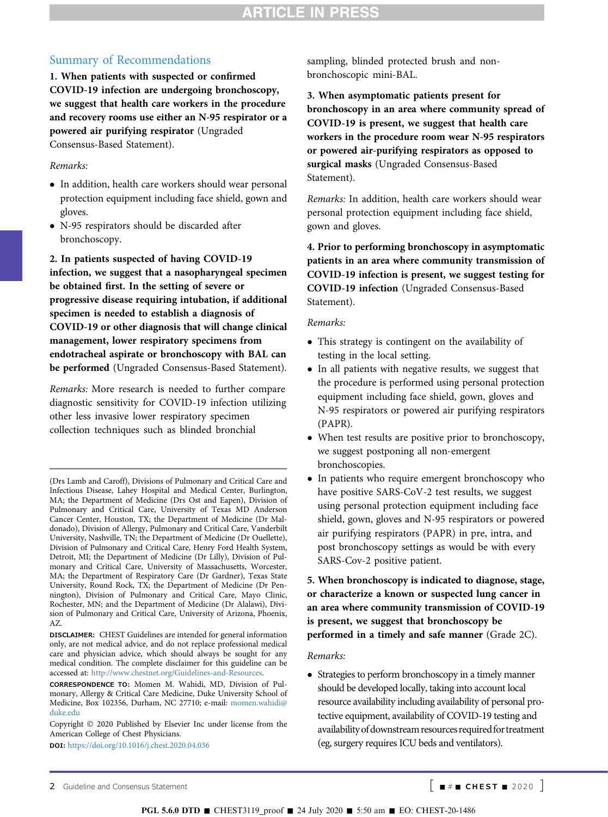### Summary of Recommendations

1. When patients with suspected or confirmed COVID-19 infection are undergoing bronchoscopy, we suggest that health care workers in the procedure and recovery rooms use either an N-95 respirator or a powered air purifying respirator (Ungraded Consensus-Based Statement).

#### Remarks:

- In addition, health care workers should wear personal protection equipment including face shield, gown and gloves.
- N-95 respirators should be discarded after bronchoscopy.

2. In patients suspected of having COVID-19 infection, we suggest that a nasopharyngeal specimen be obtained first. In the setting of severe or progressive disease requiring intubation, if additional specimen is needed to establish a diagnosis of COVID-19 or other diagnosis that will change clinical management, lower respiratory specimens from endotracheal aspirate or bronchoscopy with BAL can be performed (Ungraded Consensus-Based Statement).

Remarks: More research is needed to further compare diagnostic sensitivity for COVID-19 infection utilizing other less invasive lower respiratory specimen collection techniques such as blinded bronchial

DISCLAIMER: CHEST Guidelines are intended for general information only, are not medical advice, and do not replace professional medical care and physician advice, which should always be sought for any medical condition. The complete disclaimer for this guideline can be accessed at: <http://www.chestnet.org/Guidelines-and-Resources>.

DOI: <https://doi.org/10.1016/j.chest.2020.04.036>

sampling, blinded protected brush and nonbronchoscopic mini-BAL.

3. When asymptomatic patients present for bronchoscopy in an area where community spread of COVID-19 is present, we suggest that health care workers in the procedure room wear N-95 respirators or powered air-purifying respirators as opposed to surgical masks (Ungraded Consensus-Based Statement).

Remarks: In addition, health care workers should wear personal protection equipment including face shield, gown and gloves.

4. Prior to performing bronchoscopy in asymptomatic patients in an area where community transmission of COVID-19 infection is present, we suggest testing for COVID-19 infection (Ungraded Consensus-Based Statement).

#### Remarks:

- This strategy is contingent on the availability of testing in the local setting.
- In all patients with negative results, we suggest that the procedure is performed using personal protection equipment including face shield, gown, gloves and N-95 respirators or powered air purifying respirators (PAPR).
- When test results are positive prior to bronchoscopy, we suggest postponing all non-emergent bronchoscopies.
- In patients who require emergent bronchoscopy who have positive SARS-CoV-2 test results, we suggest using personal protection equipment including face shield, gown, gloves and N-95 respirators or powered air purifying respirators (PAPR) in pre, intra, and post bronchoscopy settings as would be with every SARS-Cov-2 positive patient.

### 5. When bronchoscopy is indicated to diagnose, stage, or characterize a known or suspected lung cancer in an area where community transmission of COVID-19 is present, we suggest that bronchoscopy be performed in a timely and safe manner (Grade 2C).

#### Remarks:

• Strategies to perform bronchoscopy in a timely manner should be developed locally, taking into account local resource availability including availability of personal protective equipment, availability of COVID-19 testing and availability of downstream resources required for treatment (eg, surgery requires ICU beds and ventilators).

<sup>(</sup>Drs Lamb and Caroff), Divisions of Pulmonary and Critical Care and Infectious Disease, Lahey Hospital and Medical Center, Burlington, MA; the Department of Medicine (Drs Ost and Eapen), Division of Pulmonary and Critical Care, University of Texas MD Anderson Cancer Center, Houston, TX; the Department of Medicine (Dr Maldonado), Division of Allergy, Pulmonary and Critical Care, Vanderbilt University, Nashville, TN; the Department of Medicine (Dr Ouellette), Division of Pulmonary and Critical Care, Henry Ford Health System, Detroit, MI; the Department of Medicine (Dr Lilly), Division of Pulmonary and Critical Care, University of Massachusetts, Worcester, MA; the Department of Respiratory Care (Dr Gardner), Texas State University, Round Rock, TX; the Department of Medicine (Dr Pennington), Division of Pulmonary and Critical Care, Mayo Clinic, Rochester, MN; and the Department of Medicine (Dr Alalawi), Division of Pulmonary and Critical Care, University of Arizona, Phoenix, AZ.

CORRESPONDENCE TO: Momen M. Wahidi, MD, Division of Pulmonary, Allergy & Critical Care Medicine, Duke University School of Medicine, Box 102356, Durham, NC 27710; e-mail: [momen.wahidi@](mailto:momen.wahidi@duke.edu) [duke.edu](mailto:momen.wahidi@duke.edu)

Copyright  $©$  2020 Published by Elsevier Inc under license from the American College of Chest Physicians.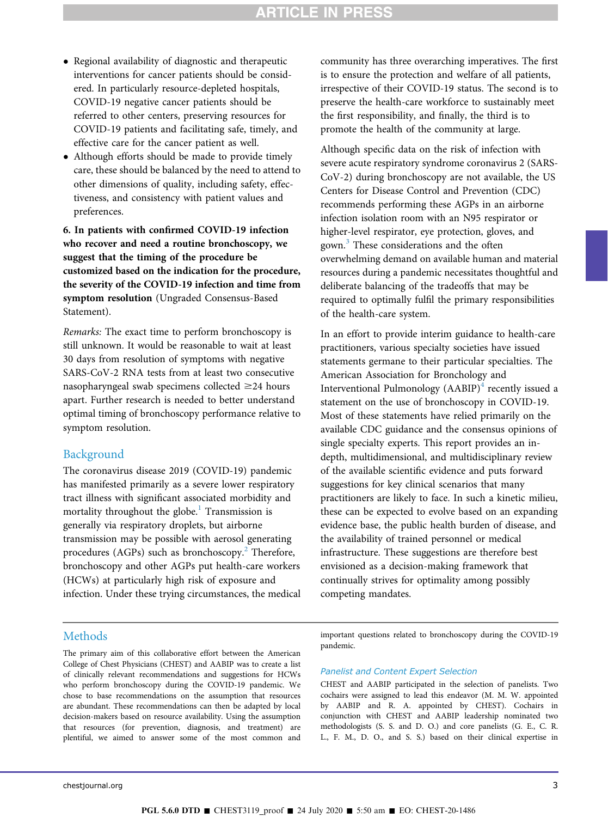- Regional availability of diagnostic and therapeutic interventions for cancer patients should be considered. In particularly resource-depleted hospitals, COVID-19 negative cancer patients should be referred to other centers, preserving resources for COVID-19 patients and facilitating safe, timely, and effective care for the cancer patient as well.
- Although efforts should be made to provide timely care, these should be balanced by the need to attend to other dimensions of quality, including safety, effectiveness, and consistency with patient values and preferences.

6. In patients with confirmed COVID-19 infection who recover and need a routine bronchoscopy, we suggest that the timing of the procedure be customized based on the indication for the procedure, the severity of the COVID-19 infection and time from symptom resolution (Ungraded Consensus-Based Statement).

Remarks: The exact time to perform bronchoscopy is still unknown. It would be reasonable to wait at least 30 days from resolution of symptoms with negative SARS-CoV-2 RNA tests from at least two consecutive nasopharyngeal swab specimens collected  $\geq$ 24 hours apart. Further research is needed to better understand optimal timing of bronchoscopy performance relative to symptom resolution.

#### Background

The coronavirus disease 2019 (COVID-19) pandemic has manifested primarily as a severe lower respiratory tract illness with significant associated morbidity and mortality throughout the globe.<sup>[1](#page-13-0)</sup> Transmission is generally via respiratory droplets, but airborne transmission may be possible with aerosol generating procedures (AGPs) such as bronchoscopy.<sup>2</sup> Therefore, bronchoscopy and other AGPs put health-care workers (HCWs) at particularly high risk of exposure and infection. Under these trying circumstances, the medical community has three overarching imperatives. The first is to ensure the protection and welfare of all patients, irrespective of their COVID-19 status. The second is to preserve the health-care workforce to sustainably meet the first responsibility, and finally, the third is to promote the health of the community at large.

Although specific data on the risk of infection with severe acute respiratory syndrome coronavirus 2 (SARS-CoV-2) during bronchoscopy are not available, the US Centers for Disease Control and Prevention (CDC) recommends performing these AGPs in an airborne infection isolation room with an N95 respirator or higher-level respirator, eye protection, gloves, and gown.[3](#page-13-2) These considerations and the often overwhelming demand on available human and material resources during a pandemic necessitates thoughtful and deliberate balancing of the tradeoffs that may be required to optimally fulfil the primary responsibilities of the health-care system.

In an effort to provide interim guidance to health-care practitioners, various specialty societies have issued statements germane to their particular specialties. The American Association for Bronchology and Interventional Pulmonology  $(AABIP)^4$  $(AABIP)^4$  recently issued a statement on the use of bronchoscopy in COVID-19. Most of these statements have relied primarily on the available CDC guidance and the consensus opinions of single specialty experts. This report provides an indepth, multidimensional, and multidisciplinary review of the available scientific evidence and puts forward suggestions for key clinical scenarios that many practitioners are likely to face. In such a kinetic milieu, these can be expected to evolve based on an expanding evidence base, the public health burden of disease, and the availability of trained personnel or medical infrastructure. These suggestions are therefore best envisioned as a decision-making framework that continually strives for optimality among possibly competing mandates.

#### **Methods**

The primary aim of this collaborative effort between the American College of Chest Physicians (CHEST) and AABIP was to create a list of clinically relevant recommendations and suggestions for HCWs who perform bronchoscopy during the COVID-19 pandemic. We chose to base recommendations on the assumption that resources are abundant. These recommendations can then be adapted by local decision-makers based on resource availability. Using the assumption that resources (for prevention, diagnosis, and treatment) are plentiful, we aimed to answer some of the most common and important questions related to bronchoscopy during the COVID-19 pandemic.

#### Panelist and Content Expert Selection

CHEST and AABIP participated in the selection of panelists. Two cochairs were assigned to lead this endeavor (M. M. W. appointed by AABIP and R. A. appointed by CHEST). Cochairs in conjunction with CHEST and AABIP leadership nominated two methodologists (S. S. and D. O.) and core panelists (G. E., C. R. L., F. M., D. O., and S. S.) based on their clinical expertise in

**PGL 5.6.0 DTD** ■ CHEST3119 proof ■ 24 July 2020 ■ 5:50 am ■ EO: CHEST-20-1486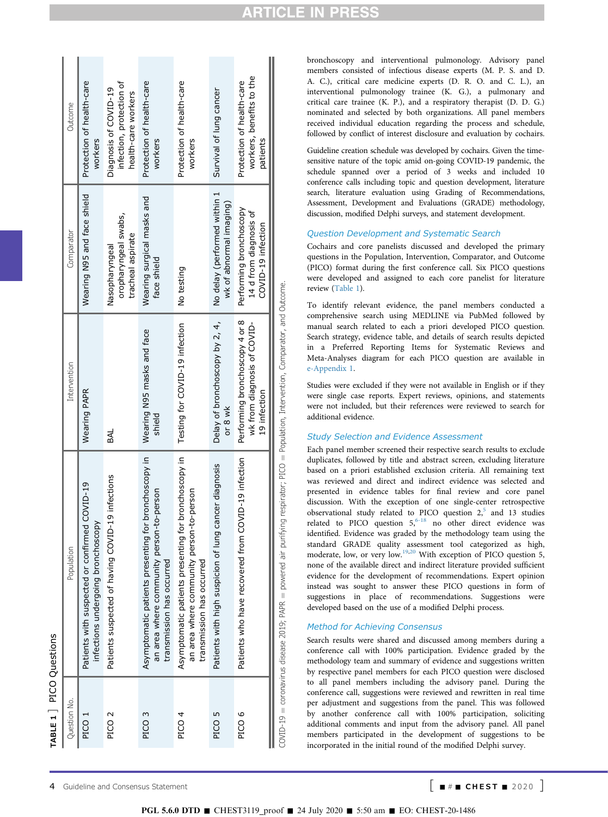<span id="page-5-0"></span>

| TABLE 1 PICO Questions |                                                                                                                                         |                                                                               |                                                                         |                                                                          |
|------------------------|-----------------------------------------------------------------------------------------------------------------------------------------|-------------------------------------------------------------------------------|-------------------------------------------------------------------------|--------------------------------------------------------------------------|
| Question No.           | Population                                                                                                                              | Intervention                                                                  | Comparator                                                              | Outcome                                                                  |
| PICO <sub>1</sub>      | Patients with suspected or confirmed COVID-19<br>infections undergoing bronchoscopy                                                     | Wearing PAPR                                                                  | Wearing N95 and face shield                                             | Protection of health-care<br>workers                                     |
| PICO <sub>2</sub>      | Patients suspected of having COVID-19 infections                                                                                        | BAL                                                                           | oropharyngeal swabs,<br>tracheal aspirate<br>Nasopharyngeal             | infection, protection of<br>Diagnosis of COVID-19<br>health-care workers |
| PICO <sub>3</sub>      | Asymptomatic patients presenting for bronchoscopy in<br>an area where community person-to-person<br>transmission has occurred           | Wearing N95 masks and face<br>shield                                          | Wearing surgical masks and<br>face shield                               | Protection of health-care<br>workers                                     |
| PICO 4                 | Asymptomatic patients presenting for bronchoscopy in<br>an area where community person-to-person<br>transmission has occurred           | Testing for COVID-19 infection                                                | No testing                                                              | Protection of health-care<br>workers                                     |
| PICO 5                 | cancer diagnosis<br>Patients with high suspicion of lung                                                                                | Delay of bronchoscopy by 2, 4,<br>or 8 wk                                     | No delay (performed within 1<br>wk of abnormal imaging)                 | Survival of lung cancer                                                  |
| PICO 6                 | Patients who have recovered from COVID-19 infection                                                                                     | Performing bronchoscopy 4 or 8<br>wk from diagnosis of COVID-<br>19 infection | Performing bronchoscopy<br>14 d from diagnosis of<br>COVID-19 infection | workers, benefits to the<br>Protection of health-care<br>patients        |
|                        | COVID-19 = coronavirus disease 2019; PAPR = powered air purifying respirator; PICO = Population, Intervention, Comparator, and Outcome. |                                                                               |                                                                         |                                                                          |

bronchoscopy and interventional pulmonology. Advisory panel members consisted of infectious disease experts (M. P. S. and D. A. C.), critical care medicine experts (D. R. O. and C. L.), an interventional pulmonology trainee (K. G.), a pulmonary and critical care trainee (K. P.), and a respiratory therapist (D. D. G.) nominated and selected by both organizations. All panel members received individual education regarding the process and schedule, followed by conflict of interest disclosure and evaluation by cochairs.

CLE.

Guideline creation schedule was developed by cochairs. Given the timesensitive nature of the topic amid on-going COVID-19 pandemic, the schedule spanned over a period of 3 weeks and included 10 conference calls including topic and question development, literature search, literature evaluation using Grading of Recommendations, Assessment, Development and Evaluations (GRADE) methodology, discussion, modified Delphi surveys, and statement development.

#### Question Development and Systematic Search

Cochairs and core panelists discussed and developed the primary questions in the Population, Intervention, Comparator, and Outcome (PICO) format during the first conference call. Six PICO questions were developed and assigned to each core panelist for literature review [\(Table 1](#page-5-0)).

To identify relevant evidence, the panel members conducted a comprehensive search using MEDLINE via PubMed followed by manual search related to each a priori developed PICO question. Search strategy, evidence table, and details of search results depicted in a Preferred Reporting Items for Systematic Reviews and Meta-Analyses diagram for each PICO question are available in [e-Appendix 1.](#page-15-0)

Studies were excluded if they were not available in English or if they were single case reports. Expert reviews, opinions, and statements were not included, but their references were reviewed to search for additional evidence.

#### Study Selection and Evidence Assessment

Each panel member screened their respective search results to exclude duplicates, followed by title and abstract screen, excluding literature based on a priori established exclusion criteria. All remaining text was reviewed and direct and indirect evidence was selected and presented in evidence tables for final review and core panel discussion. With the exception of one single-center retrospective observational study related to PICO question  $2,5$  $2,5$  and 13 studies related to PICO question  $5<sub>6</sub><sup>6-18</sup>$  $5<sub>6</sub><sup>6-18</sup>$  $5<sub>6</sub><sup>6-18</sup>$  no other direct evidence was identified. Evidence was graded by the methodology team using the standard GRADE quality assessment tool categorized as high, moderate, low, or very low[.19](#page-13-6)[,20](#page-13-7) With exception of PICO question 5, none of the available direct and indirect literature provided sufficient evidence for the development of recommendations. Expert opinion instead was sought to answer these PICO questions in form of suggestions in place of recommendations. Suggestions were developed based on the use of a modified Delphi process.

#### Method for Achieving Consensus

Search results were shared and discussed among members during a conference call with 100% participation. Evidence graded by the methodology team and summary of evidence and suggestions written by respective panel members for each PICO question were disclosed to all panel members including the advisory panel. During the conference call, suggestions were reviewed and rewritten in real time per adjustment and suggestions from the panel. This was followed by another conference call with 100% participation, soliciting additional comments and input from the advisory panel. All panel members participated in the development of suggestions to be incorporated in the initial round of the modified Delphi survey.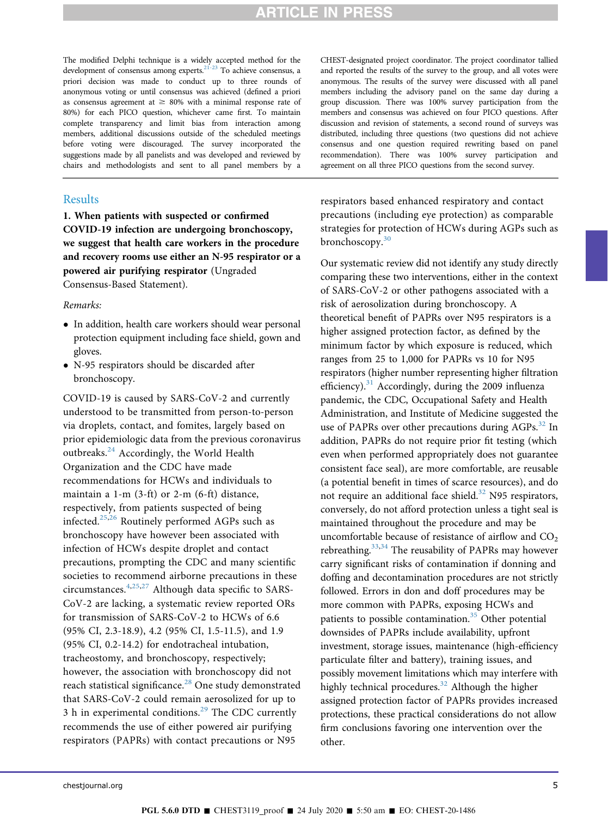The modified Delphi technique is a widely accepted method for the development of consensus among experts[.21-23](#page-13-8) To achieve consensus, a priori decision was made to conduct up to three rounds of anonymous voting or until consensus was achieved (defined a priori as consensus agreement at  $\geq$  80% with a minimal response rate of 80%) for each PICO question, whichever came first. To maintain complete transparency and limit bias from interaction among members, additional discussions outside of the scheduled meetings before voting were discouraged. The survey incorporated the suggestions made by all panelists and was developed and reviewed by chairs and methodologists and sent to all panel members by a

### Results

1. When patients with suspected or confirmed COVID-19 infection are undergoing bronchoscopy, we suggest that health care workers in the procedure and recovery rooms use either an N-95 respirator or a powered air purifying respirator (Ungraded Consensus-Based Statement).

#### Remarks:

- In addition, health care workers should wear personal protection equipment including face shield, gown and gloves.
- N-95 respirators should be discarded after bronchoscopy.

COVID-19 is caused by SARS-CoV-2 and currently understood to be transmitted from person-to-person via droplets, contact, and fomites, largely based on prior epidemiologic data from the previous coronavirus outbreaks.<sup>[24](#page-14-0)</sup> Accordingly, the World Health Organization and the CDC have made recommendations for HCWs and individuals to maintain a 1-m (3-ft) or 2-m (6-ft) distance, respectively, from patients suspected of being infected.[25,](#page-14-1)[26](#page-14-2) Routinely performed AGPs such as bronchoscopy have however been associated with infection of HCWs despite droplet and contact precautions, prompting the CDC and many scientific societies to recommend airborne precautions in these circumstances.[4](#page-13-3),[25](#page-14-1)[,27](#page-14-3) Although data specific to SARS-CoV-2 are lacking, a systematic review reported ORs for transmission of SARS-CoV-2 to HCWs of 6.6 (95% CI, 2.3-18.9), 4.2 (95% CI, 1.5-11.5), and 1.9 (95% CI, 0.2-14.2) for endotracheal intubation, tracheostomy, and bronchoscopy, respectively; however, the association with bronchoscopy did not reach statistical significance.<sup>[28](#page-14-4)</sup> One study demonstrated that SARS-CoV-2 could remain aerosolized for up to 3 h in experimental conditions. $29$  The CDC currently recommends the use of either powered air purifying respirators (PAPRs) with contact precautions or N95

CHEST-designated project coordinator. The project coordinator tallied and reported the results of the survey to the group, and all votes were anonymous. The results of the survey were discussed with all panel members including the advisory panel on the same day during a group discussion. There was 100% survey participation from the members and consensus was achieved on four PICO questions. After discussion and revision of statements, a second round of surveys was distributed, including three questions (two questions did not achieve consensus and one question required rewriting based on panel recommendation). There was 100% survey participation and agreement on all three PICO questions from the second survey.

respirators based enhanced respiratory and contact precautions (including eye protection) as comparable strategies for protection of HCWs during AGPs such as bronchoscopy.<sup>[30](#page-14-6)</sup>

Our systematic review did not identify any study directly comparing these two interventions, either in the context of SARS-CoV-2 or other pathogens associated with a risk of aerosolization during bronchoscopy. A theoretical benefit of PAPRs over N95 respirators is a higher assigned protection factor, as defined by the minimum factor by which exposure is reduced, which ranges from 25 to 1,000 for PAPRs vs 10 for N95 respirators (higher number representing higher filtration efficiency).<sup>[31](#page-14-7)</sup> Accordingly, during the 2009 influenza pandemic, the CDC, Occupational Safety and Health Administration, and Institute of Medicine suggested the use of PAPRs over other precautions during AGPs.<sup>[32](#page-14-8)</sup> In addition, PAPRs do not require prior fit testing (which even when performed appropriately does not guarantee consistent face seal), are more comfortable, are reusable (a potential benefit in times of scarce resources), and do not require an additional face shield.<sup>32</sup> N95 respirators, conversely, do not afford protection unless a tight seal is maintained throughout the procedure and may be uncomfortable because of resistance of airflow and  $CO<sub>2</sub>$ rebreathing.[33](#page-14-9),[34](#page-14-10) The reusability of PAPRs may however carry significant risks of contamination if donning and doffing and decontamination procedures are not strictly followed. Errors in don and doff procedures may be more common with PAPRs, exposing HCWs and patients to possible contamination.<sup>35</sup> Other potential downsides of PAPRs include availability, upfront investment, storage issues, maintenance (high-efficiency particulate filter and battery), training issues, and possibly movement limitations which may interfere with highly technical procedures. $32$  Although the higher assigned protection factor of PAPRs provides increased protections, these practical considerations do not allow firm conclusions favoring one intervention over the other.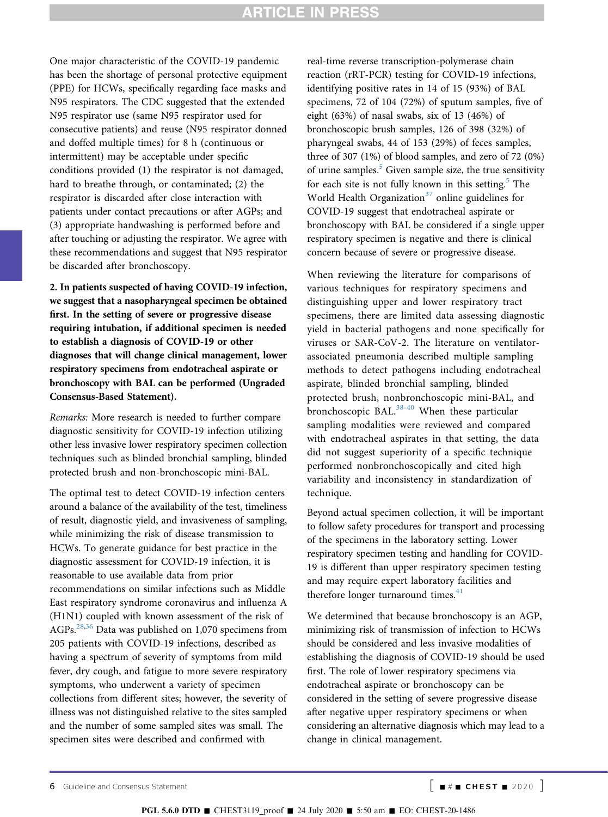One major characteristic of the COVID-19 pandemic has been the shortage of personal protective equipment (PPE) for HCWs, specifically regarding face masks and N95 respirators. The CDC suggested that the extended N95 respirator use (same N95 respirator used for consecutive patients) and reuse (N95 respirator donned and doffed multiple times) for 8 h (continuous or intermittent) may be acceptable under specific conditions provided (1) the respirator is not damaged, hard to breathe through, or contaminated; (2) the respirator is discarded after close interaction with patients under contact precautions or after AGPs; and (3) appropriate handwashing is performed before and after touching or adjusting the respirator. We agree with these recommendations and suggest that N95 respirator be discarded after bronchoscopy.

2. In patients suspected of having COVID-19 infection, we suggest that a nasopharyngeal specimen be obtained first. In the setting of severe or progressive disease requiring intubation, if additional specimen is needed to establish a diagnosis of COVID-19 or other diagnoses that will change clinical management, lower respiratory specimens from endotracheal aspirate or bronchoscopy with BAL can be performed (Ungraded Consensus-Based Statement).

Remarks: More research is needed to further compare diagnostic sensitivity for COVID-19 infection utilizing other less invasive lower respiratory specimen collection techniques such as blinded bronchial sampling, blinded protected brush and non-bronchoscopic mini-BAL.

The optimal test to detect COVID-19 infection centers around a balance of the availability of the test, timeliness of result, diagnostic yield, and invasiveness of sampling, while minimizing the risk of disease transmission to HCWs. To generate guidance for best practice in the diagnostic assessment for COVID-19 infection, it is reasonable to use available data from prior recommendations on similar infections such as Middle East respiratory syndrome coronavirus and influenza A (H1N1) coupled with known assessment of the risk of AGPs. $^{28,36}$  $^{28,36}$  $^{28,36}$  $^{28,36}$  Data was published on 1,070 specimens from 205 patients with COVID-19 infections, described as having a spectrum of severity of symptoms from mild fever, dry cough, and fatigue to more severe respiratory symptoms, who underwent a variety of specimen collections from different sites; however, the severity of illness was not distinguished relative to the sites sampled and the number of some sampled sites was small. The specimen sites were described and confirmed with

real-time reverse transcription-polymerase chain reaction (rRT-PCR) testing for COVID-19 infections, identifying positive rates in 14 of 15 (93%) of BAL specimens, 72 of 104 (72%) of sputum samples, five of eight (63%) of nasal swabs, six of 13 (46%) of bronchoscopic brush samples, 126 of 398 (32%) of pharyngeal swabs, 44 of 153 (29%) of feces samples, three of 307 (1%) of blood samples, and zero of 72 (0%) of urine samples. $5$  Given sample size, the true sensitivity for each site is not fully known in this setting. $5$  The World Health Organization<sup>[37](#page-14-13)</sup> online guidelines for COVID-19 suggest that endotracheal aspirate or bronchoscopy with BAL be considered if a single upper respiratory specimen is negative and there is clinical concern because of severe or progressive disease.

When reviewing the literature for comparisons of various techniques for respiratory specimens and distinguishing upper and lower respiratory tract specimens, there are limited data assessing diagnostic yield in bacterial pathogens and none specifically for viruses or SAR-CoV-2. The literature on ventilatorassociated pneumonia described multiple sampling methods to detect pathogens including endotracheal aspirate, blinded bronchial sampling, blinded protected brush, nonbronchoscopic mini-BAL, and bronchoscopic BAL.<sup>[38-40](#page-14-14)</sup> When these particular sampling modalities were reviewed and compared with endotracheal aspirates in that setting, the data did not suggest superiority of a specific technique performed nonbronchoscopically and cited high variability and inconsistency in standardization of technique.

Beyond actual specimen collection, it will be important to follow safety procedures for transport and processing of the specimens in the laboratory setting. Lower respiratory specimen testing and handling for COVID-19 is different than upper respiratory specimen testing and may require expert laboratory facilities and therefore longer turnaround times. $41$ 

We determined that because bronchoscopy is an AGP, minimizing risk of transmission of infection to HCWs should be considered and less invasive modalities of establishing the diagnosis of COVID-19 should be used first. The role of lower respiratory specimens via endotracheal aspirate or bronchoscopy can be considered in the setting of severe progressive disease after negative upper respiratory specimens or when considering an alternative diagnosis which may lead to a change in clinical management.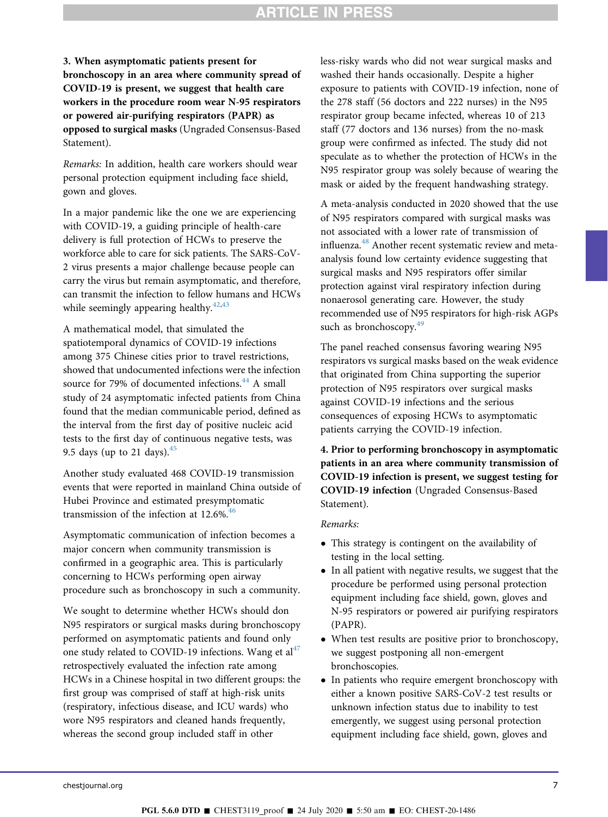3. When asymptomatic patients present for bronchoscopy in an area where community spread of COVID-19 is present, we suggest that health care workers in the procedure room wear N-95 respirators or powered air-purifying respirators (PAPR) as opposed to surgical masks (Ungraded Consensus-Based Statement).

Remarks: In addition, health care workers should wear personal protection equipment including face shield, gown and gloves.

In a major pandemic like the one we are experiencing with COVID-19, a guiding principle of health-care delivery is full protection of HCWs to preserve the workforce able to care for sick patients. The SARS-CoV-2 virus presents a major challenge because people can carry the virus but remain asymptomatic, and therefore, can transmit the infection to fellow humans and HCWs while seemingly appearing healthy. $42,43$  $42,43$ 

A mathematical model, that simulated the spatiotemporal dynamics of COVID-19 infections among 375 Chinese cities prior to travel restrictions, showed that undocumented infections were the infection source for 79% of documented infections.<sup>44</sup> A small study of 24 asymptomatic infected patients from China found that the median communicable period, defined as the interval from the first day of positive nucleic acid tests to the first day of continuous negative tests, was 9.5 days (up to 21 days). $45$ 

Another study evaluated 468 COVID-19 transmission events that were reported in mainland China outside of Hubei Province and estimated presymptomatic transmission of the infection at  $12.6\%$ .<sup>46</sup>

Asymptomatic communication of infection becomes a major concern when community transmission is confirmed in a geographic area. This is particularly concerning to HCWs performing open airway procedure such as bronchoscopy in such a community.

We sought to determine whether HCWs should don N95 respirators or surgical masks during bronchoscopy performed on asymptomatic patients and found only one study related to COVID-19 infections. Wang et  $al<sup>47</sup>$  $al<sup>47</sup>$  $al<sup>47</sup>$ retrospectively evaluated the infection rate among HCWs in a Chinese hospital in two different groups: the first group was comprised of staff at high-risk units (respiratory, infectious disease, and ICU wards) who wore N95 respirators and cleaned hands frequently, whereas the second group included staff in other

less-risky wards who did not wear surgical masks and washed their hands occasionally. Despite a higher exposure to patients with COVID-19 infection, none of the 278 staff (56 doctors and 222 nurses) in the N95 respirator group became infected, whereas 10 of 213 staff (77 doctors and 136 nurses) from the no-mask group were confirmed as infected. The study did not speculate as to whether the protection of HCWs in the N95 respirator group was solely because of wearing the mask or aided by the frequent handwashing strategy.

A meta-analysis conducted in 2020 showed that the use of N95 respirators compared with surgical masks was not associated with a lower rate of transmission of influenza.<sup>[48](#page-14-22)</sup> Another recent systematic review and metaanalysis found low certainty evidence suggesting that surgical masks and N95 respirators offer similar protection against viral respiratory infection during nonaerosol generating care. However, the study recommended use of N95 respirators for high-risk AGPs such as bronchoscopy. $49$ 

The panel reached consensus favoring wearing N95 respirators vs surgical masks based on the weak evidence that originated from China supporting the superior protection of N95 respirators over surgical masks against COVID-19 infections and the serious consequences of exposing HCWs to asymptomatic patients carrying the COVID-19 infection.

4. Prior to performing bronchoscopy in asymptomatic patients in an area where community transmission of COVID-19 infection is present, we suggest testing for COVID-19 infection (Ungraded Consensus-Based Statement).

#### Remarks:

- This strategy is contingent on the availability of testing in the local setting.
- In all patient with negative results, we suggest that the procedure be performed using personal protection equipment including face shield, gown, gloves and N-95 respirators or powered air purifying respirators (PAPR).
- When test results are positive prior to bronchoscopy, we suggest postponing all non-emergent bronchoscopies.
- In patients who require emergent bronchoscopy with either a known positive SARS-CoV-2 test results or unknown infection status due to inability to test emergently, we suggest using personal protection equipment including face shield, gown, gloves and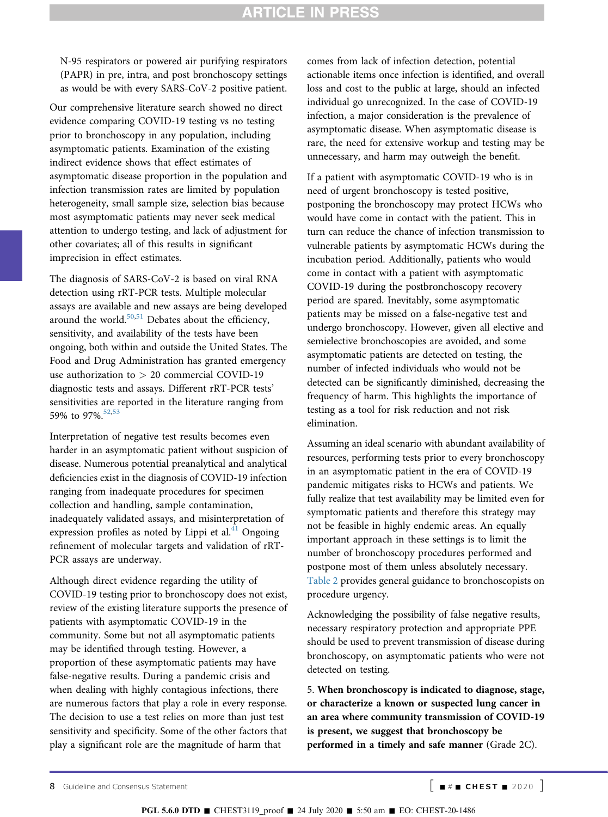N-95 respirators or powered air purifying respirators (PAPR) in pre, intra, and post bronchoscopy settings as would be with every SARS-CoV-2 positive patient.

Our comprehensive literature search showed no direct evidence comparing COVID-19 testing vs no testing prior to bronchoscopy in any population, including asymptomatic patients. Examination of the existing indirect evidence shows that effect estimates of asymptomatic disease proportion in the population and infection transmission rates are limited by population heterogeneity, small sample size, selection bias because most asymptomatic patients may never seek medical attention to undergo testing, and lack of adjustment for other covariates; all of this results in significant imprecision in effect estimates.

The diagnosis of SARS-CoV-2 is based on viral RNA detection using rRT-PCR tests. Multiple molecular assays are available and new assays are being developed around the world. $50,51}$  $50,51}$  $50,51}$  $50,51}$  Debates about the efficiency, sensitivity, and availability of the tests have been ongoing, both within and outside the United States. The Food and Drug Administration has granted emergency use authorization to > 20 commercial COVID-19 diagnostic tests and assays. Different rRT-PCR tests' sensitivities are reported in the literature ranging from 59% to 97%.[52,](#page-14-26)[53](#page-14-27)

Interpretation of negative test results becomes even harder in an asymptomatic patient without suspicion of disease. Numerous potential preanalytical and analytical deficiencies exist in the diagnosis of COVID-19 infection ranging from inadequate procedures for specimen collection and handling, sample contamination, inadequately validated assays, and misinterpretation of expression profiles as noted by Lippi et al. $41$  Ongoing refinement of molecular targets and validation of rRT-PCR assays are underway.

Although direct evidence regarding the utility of COVID-19 testing prior to bronchoscopy does not exist, review of the existing literature supports the presence of patients with asymptomatic COVID-19 in the community. Some but not all asymptomatic patients may be identified through testing. However, a proportion of these asymptomatic patients may have false-negative results. During a pandemic crisis and when dealing with highly contagious infections, there are numerous factors that play a role in every response. The decision to use a test relies on more than just test sensitivity and specificity. Some of the other factors that play a significant role are the magnitude of harm that

comes from lack of infection detection, potential actionable items once infection is identified, and overall loss and cost to the public at large, should an infected individual go unrecognized. In the case of COVID-19 infection, a major consideration is the prevalence of asymptomatic disease. When asymptomatic disease is rare, the need for extensive workup and testing may be unnecessary, and harm may outweigh the benefit.

If a patient with asymptomatic COVID-19 who is in need of urgent bronchoscopy is tested positive, postponing the bronchoscopy may protect HCWs who would have come in contact with the patient. This in turn can reduce the chance of infection transmission to vulnerable patients by asymptomatic HCWs during the incubation period. Additionally, patients who would come in contact with a patient with asymptomatic COVID-19 during the postbronchoscopy recovery period are spared. Inevitably, some asymptomatic patients may be missed on a false-negative test and undergo bronchoscopy. However, given all elective and semielective bronchoscopies are avoided, and some asymptomatic patients are detected on testing, the number of infected individuals who would not be detected can be significantly diminished, decreasing the frequency of harm. This highlights the importance of testing as a tool for risk reduction and not risk elimination.

Assuming an ideal scenario with abundant availability of resources, performing tests prior to every bronchoscopy in an asymptomatic patient in the era of COVID-19 pandemic mitigates risks to HCWs and patients. We fully realize that test availability may be limited even for symptomatic patients and therefore this strategy may not be feasible in highly endemic areas. An equally important approach in these settings is to limit the number of bronchoscopy procedures performed and postpone most of them unless absolutely necessary. [Table 2](#page-10-0) provides general guidance to bronchoscopists on procedure urgency.

Acknowledging the possibility of false negative results, necessary respiratory protection and appropriate PPE should be used to prevent transmission of disease during bronchoscopy, on asymptomatic patients who were not detected on testing.

5. When bronchoscopy is indicated to diagnose, stage, or characterize a known or suspected lung cancer in an area where community transmission of COVID-19 is present, we suggest that bronchoscopy be performed in a timely and safe manner (Grade 2C).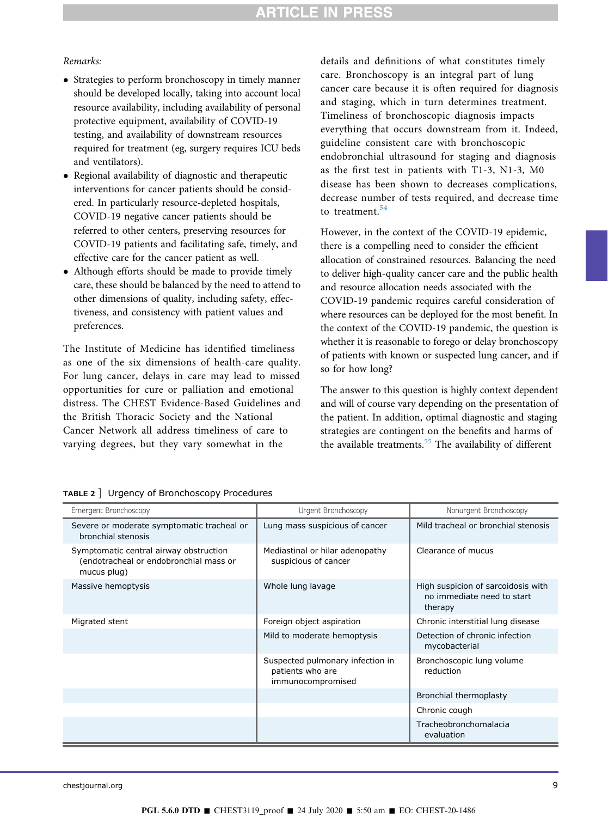#### Remarks:

- Strategies to perform bronchoscopy in timely manner should be developed locally, taking into account local resource availability, including availability of personal protective equipment, availability of COVID-19 testing, and availability of downstream resources required for treatment (eg, surgery requires ICU beds and ventilators).
- Regional availability of diagnostic and therapeutic interventions for cancer patients should be considered. In particularly resource-depleted hospitals, COVID-19 negative cancer patients should be referred to other centers, preserving resources for COVID-19 patients and facilitating safe, timely, and effective care for the cancer patient as well.
- Although efforts should be made to provide timely care, these should be balanced by the need to attend to other dimensions of quality, including safety, effectiveness, and consistency with patient values and preferences.

The Institute of Medicine has identified timeliness as one of the six dimensions of health-care quality. For lung cancer, delays in care may lead to missed opportunities for cure or palliation and emotional distress. The CHEST Evidence-Based Guidelines and the British Thoracic Society and the National Cancer Network all address timeliness of care to varying degrees, but they vary somewhat in the

details and definitions of what constitutes timely care. Bronchoscopy is an integral part of lung cancer care because it is often required for diagnosis and staging, which in turn determines treatment. Timeliness of bronchoscopic diagnosis impacts everything that occurs downstream from it. Indeed, guideline consistent care with bronchoscopic endobronchial ultrasound for staging and diagnosis as the first test in patients with T1-3, N1-3, M0 disease has been shown to decreases complications, decrease number of tests required, and decrease time to treatment.<sup>[54](#page-14-28)</sup>

However, in the context of the COVID-19 epidemic, there is a compelling need to consider the efficient allocation of constrained resources. Balancing the need to deliver high-quality cancer care and the public health and resource allocation needs associated with the COVID-19 pandemic requires careful consideration of where resources can be deployed for the most benefit. In the context of the COVID-19 pandemic, the question is whether it is reasonable to forego or delay bronchoscopy of patients with known or suspected lung cancer, and if so for how long?

The answer to this question is highly context dependent and will of course vary depending on the presentation of the patient. In addition, optimal diagnostic and staging strategies are contingent on the benefits and harms of the available treatments.<sup>[55](#page-14-29)</sup> The availability of different

<span id="page-10-0"></span>

|  | TABLE 2 ] Urgency of Bronchoscopy Procedures |  |
|--|----------------------------------------------|--|
|  |                                              |  |

| Emergent Bronchoscopy                                                                           | Urgent Bronchoscopy                                                       | Nonurgent Bronchoscopy                                                      |
|-------------------------------------------------------------------------------------------------|---------------------------------------------------------------------------|-----------------------------------------------------------------------------|
| Severe or moderate symptomatic tracheal or<br>bronchial stenosis                                | Lung mass suspicious of cancer                                            | Mild tracheal or bronchial stenosis                                         |
| Symptomatic central airway obstruction<br>(endotracheal or endobronchial mass or<br>mucus plug) | Mediastinal or hilar adenopathy<br>suspicious of cancer                   | Clearance of mucus                                                          |
| Massive hemoptysis                                                                              | Whole lung lavage                                                         | High suspicion of sarcoidosis with<br>no immediate need to start<br>therapy |
| Migrated stent                                                                                  | Foreign object aspiration                                                 | Chronic interstitial lung disease                                           |
|                                                                                                 | Mild to moderate hemoptysis                                               | Detection of chronic infection<br>mycobacterial                             |
|                                                                                                 | Suspected pulmonary infection in<br>patients who are<br>immunocompromised | Bronchoscopic lung volume<br>reduction                                      |
|                                                                                                 |                                                                           | <b>Bronchial thermoplasty</b>                                               |
|                                                                                                 |                                                                           | Chronic cough                                                               |
|                                                                                                 |                                                                           | Tracheobronchomalacia<br>evaluation                                         |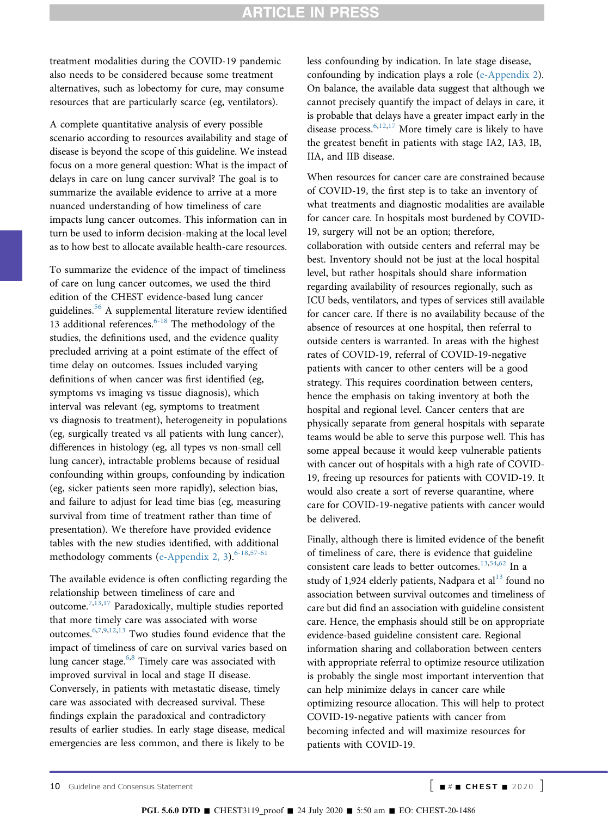treatment modalities during the COVID-19 pandemic also needs to be considered because some treatment alternatives, such as lobectomy for cure, may consume resources that are particularly scarce (eg, ventilators).

A complete quantitative analysis of every possible scenario according to resources availability and stage of disease is beyond the scope of this guideline. We instead focus on a more general question: What is the impact of delays in care on lung cancer survival? The goal is to summarize the available evidence to arrive at a more nuanced understanding of how timeliness of care impacts lung cancer outcomes. This information can in turn be used to inform decision-making at the local level as to how best to allocate available health-care resources.

To summarize the evidence of the impact of timeliness of care on lung cancer outcomes, we used the third edition of the CHEST evidence-based lung cancer guidelines[.56](#page-14-30) A supplemental literature review identified 13 additional references. $6-18$  The methodology of the studies, the definitions used, and the evidence quality precluded arriving at a point estimate of the effect of time delay on outcomes. Issues included varying definitions of when cancer was first identified (eg, symptoms vs imaging vs tissue diagnosis), which interval was relevant (eg, symptoms to treatment vs diagnosis to treatment), heterogeneity in populations (eg, surgically treated vs all patients with lung cancer), differences in histology (eg, all types vs non-small cell lung cancer), intractable problems because of residual confounding within groups, confounding by indication (eg, sicker patients seen more rapidly), selection bias, and failure to adjust for lead time bias (eg, measuring survival from time of treatment rather than time of presentation). We therefore have provided evidence tables with the new studies identified, with additional methodology comments ([e-Appendix 2, 3](#page-15-0)).<sup>[6-18](#page-13-5),[57-61](#page-14-31)</sup>

The available evidence is often conflicting regarding the relationship between timeliness of care and outcome.[7](#page-13-9),[13](#page-13-10),[17](#page-13-11) Paradoxically, multiple studies reported that more timely care was associated with worse outcomes[.6,](#page-13-5)[7](#page-13-9),[9](#page-13-12)[,12](#page-13-13),[13](#page-13-10) Two studies found evidence that the impact of timeliness of care on survival varies based on lung cancer stage.<sup>6,[8](#page-13-14)</sup> Timely care was associated with improved survival in local and stage II disease. Conversely, in patients with metastatic disease, timely care was associated with decreased survival. These findings explain the paradoxical and contradictory results of earlier studies. In early stage disease, medical emergencies are less common, and there is likely to be

less confounding by indication. In late stage disease, confounding by indication plays a role ([e-Appendix 2\)](#page-15-0). On balance, the available data suggest that although we cannot precisely quantify the impact of delays in care, it is probable that delays have a greater impact early in the disease process.<sup>[6](#page-13-5),[12](#page-13-13),[17](#page-13-11)</sup> More timely care is likely to have the greatest benefit in patients with stage IA2, IA3, IB, IIA, and IIB disease.

When resources for cancer care are constrained because of COVID-19, the first step is to take an inventory of what treatments and diagnostic modalities are available for cancer care. In hospitals most burdened by COVID-19, surgery will not be an option; therefore, collaboration with outside centers and referral may be best. Inventory should not be just at the local hospital level, but rather hospitals should share information regarding availability of resources regionally, such as ICU beds, ventilators, and types of services still available for cancer care. If there is no availability because of the absence of resources at one hospital, then referral to outside centers is warranted. In areas with the highest rates of COVID-19, referral of COVID-19-negative patients with cancer to other centers will be a good strategy. This requires coordination between centers, hence the emphasis on taking inventory at both the hospital and regional level. Cancer centers that are physically separate from general hospitals with separate teams would be able to serve this purpose well. This has some appeal because it would keep vulnerable patients with cancer out of hospitals with a high rate of COVID-19, freeing up resources for patients with COVID-19. It would also create a sort of reverse quarantine, where care for COVID-19-negative patients with cancer would be delivered.

Finally, although there is limited evidence of the benefit of timeliness of care, there is evidence that guideline consistent care leads to better outcomes[.13](#page-13-10),[54](#page-14-28),[62](#page-15-1) In a study of 1,924 elderly patients, Nadpara et al $^{13}$  $^{13}$  $^{13}$  found no association between survival outcomes and timeliness of care but did find an association with guideline consistent care. Hence, the emphasis should still be on appropriate evidence-based guideline consistent care. Regional information sharing and collaboration between centers with appropriate referral to optimize resource utilization is probably the single most important intervention that can help minimize delays in cancer care while optimizing resource allocation. This will help to protect COVID-19-negative patients with cancer from becoming infected and will maximize resources for patients with COVID-19.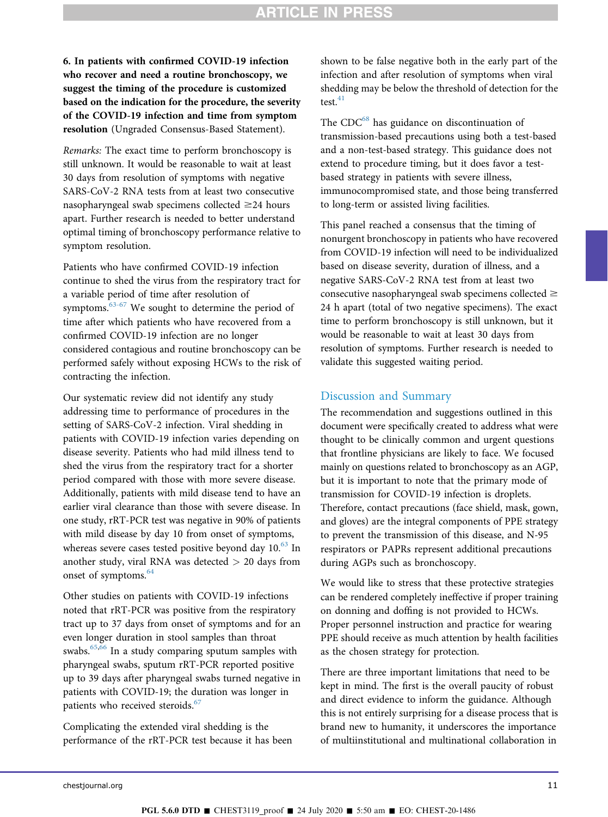6. In patients with confirmed COVID-19 infection who recover and need a routine bronchoscopy, we suggest the timing of the procedure is customized based on the indication for the procedure, the severity of the COVID-19 infection and time from symptom resolution (Ungraded Consensus-Based Statement).

Remarks: The exact time to perform bronchoscopy is still unknown. It would be reasonable to wait at least 30 days from resolution of symptoms with negative SARS-CoV-2 RNA tests from at least two consecutive nasopharyngeal swab specimens collected  $\geq$ 24 hours apart. Further research is needed to better understand optimal timing of bronchoscopy performance relative to symptom resolution.

Patients who have confirmed COVID-19 infection continue to shed the virus from the respiratory tract for a variable period of time after resolution of symptoms.<sup>63-67</sup> We sought to determine the period of time after which patients who have recovered from a confirmed COVID-19 infection are no longer considered contagious and routine bronchoscopy can be performed safely without exposing HCWs to the risk of contracting the infection.

Our systematic review did not identify any study addressing time to performance of procedures in the setting of SARS-CoV-2 infection. Viral shedding in patients with COVID-19 infection varies depending on disease severity. Patients who had mild illness tend to shed the virus from the respiratory tract for a shorter period compared with those with more severe disease. Additionally, patients with mild disease tend to have an earlier viral clearance than those with severe disease. In one study, rRT-PCR test was negative in 90% of patients with mild disease by day 10 from onset of symptoms, whereas severe cases tested positive beyond day  $10^{63}$  $10^{63}$  $10^{63}$  In another study, viral RNA was detected > 20 days from onset of symptoms.<sup>[64](#page-15-3)</sup>

Other studies on patients with COVID-19 infections noted that rRT-PCR was positive from the respiratory tract up to 37 days from onset of symptoms and for an even longer duration in stool samples than throat swabs.[65,](#page-15-4)[66](#page-15-5) In a study comparing sputum samples with pharyngeal swabs, sputum rRT-PCR reported positive up to 39 days after pharyngeal swabs turned negative in patients with COVID-19; the duration was longer in patients who received steroids.<sup>[67](#page-15-6)</sup>

Complicating the extended viral shedding is the performance of the rRT-PCR test because it has been shown to be false negative both in the early part of the infection and after resolution of symptoms when viral shedding may be below the threshold of detection for the test. $41$ 

The CDC<sup>[68](#page-15-7)</sup> has guidance on discontinuation of transmission-based precautions using both a test-based and a non-test-based strategy. This guidance does not extend to procedure timing, but it does favor a testbased strategy in patients with severe illness, immunocompromised state, and those being transferred to long-term or assisted living facilities.

This panel reached a consensus that the timing of nonurgent bronchoscopy in patients who have recovered from COVID-19 infection will need to be individualized based on disease severity, duration of illness, and a negative SARS-CoV-2 RNA test from at least two consecutive nasopharyngeal swab specimens collected  $\geq$ 24 h apart (total of two negative specimens). The exact time to perform bronchoscopy is still unknown, but it would be reasonable to wait at least 30 days from resolution of symptoms. Further research is needed to validate this suggested waiting period.

### Discussion and Summary

The recommendation and suggestions outlined in this document were specifically created to address what were thought to be clinically common and urgent questions that frontline physicians are likely to face. We focused mainly on questions related to bronchoscopy as an AGP, but it is important to note that the primary mode of transmission for COVID-19 infection is droplets. Therefore, contact precautions (face shield, mask, gown, and gloves) are the integral components of PPE strategy to prevent the transmission of this disease, and N-95 respirators or PAPRs represent additional precautions during AGPs such as bronchoscopy.

We would like to stress that these protective strategies can be rendered completely ineffective if proper training on donning and doffing is not provided to HCWs. Proper personnel instruction and practice for wearing PPE should receive as much attention by health facilities as the chosen strategy for protection.

There are three important limitations that need to be kept in mind. The first is the overall paucity of robust and direct evidence to inform the guidance. Although this is not entirely surprising for a disease process that is brand new to humanity, it underscores the importance of multiinstitutional and multinational collaboration in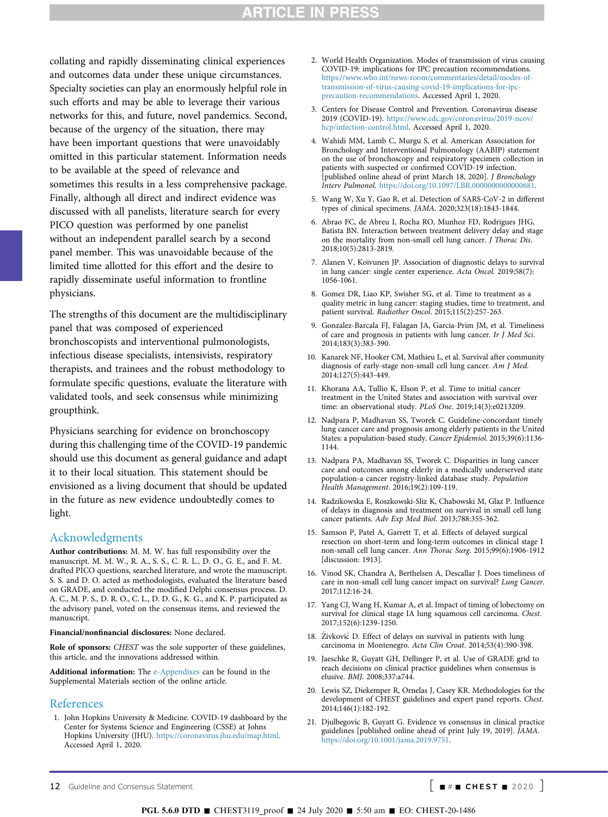collating and rapidly disseminating clinical experiences and outcomes data under these unique circumstances. Specialty societies can play an enormously helpful role in such efforts and may be able to leverage their various networks for this, and future, novel pandemics. Second, because of the urgency of the situation, there may have been important questions that were unavoidably omitted in this particular statement. Information needs to be available at the speed of relevance and sometimes this results in a less comprehensive package. Finally, although all direct and indirect evidence was discussed with all panelists, literature search for every PICO question was performed by one panelist without an independent parallel search by a second panel member. This was unavoidable because of the limited time allotted for this effort and the desire to rapidly disseminate useful information to frontline physicians.

The strengths of this document are the multidisciplinary panel that was composed of experienced bronchoscopists and interventional pulmonologists, infectious disease specialists, intensivists, respiratory therapists, and trainees and the robust methodology to formulate specific questions, evaluate the literature with validated tools, and seek consensus while minimizing groupthink.

Physicians searching for evidence on bronchoscopy during this challenging time of the COVID-19 pandemic should use this document as general guidance and adapt it to their local situation. This statement should be envisioned as a living document that should be updated in the future as new evidence undoubtedly comes to light.

#### Acknowledgments

Author contributions: M. M. W. has full responsibility over the manuscript. M. M. W., R. A., S. S., C. R. L., D. O., G. E., and F. M. drafted PICO questions, searched literature, and wrote the manuscript. S. S. and D. O. acted as methodologists, evaluated the literature based on GRADE, and conducted the modified Delphi consensus process. D. A. C., M. P. S., D. R. O., C. L., D. D. G., K. G., and K. P. participated as the advisory panel, voted on the consensus items, and reviewed the manuscript.

Financial/nonfinancial disclosures: None declared.

Role of sponsors: CHEST was the sole supporter of these guidelines, this article, and the innovations addressed within.

Additional information: The [e-Appendixes](#page-15-0) can be found in the Supplemental Materials section of the online article.

#### References

<span id="page-13-0"></span>1. John Hopkins University & Medicine. COVID-19 dashboard by the Center for Systems Science and Engineering (CSSE) at Johns Hopkins University (JHU). <https://coronavirus.jhu.edu/map.html>. Accessed April 1, 2020.

- <span id="page-13-1"></span>2. World Health Organization. Modes of transmission of virus causing COVID-19: implications for IPC precaution recommendations. [https://www.who.int/news-room/commentaries/detail/modes-of](https://www.who.int/news-room/commentaries/detail/modes-of-transmission-of-virus-causing-covid-19-implications-for-ipc-precaution-recommendations)[transmission-of-virus-causing-covid-19-implications-for-ipc](https://www.who.int/news-room/commentaries/detail/modes-of-transmission-of-virus-causing-covid-19-implications-for-ipc-precaution-recommendations)[precaution-recommendations](https://www.who.int/news-room/commentaries/detail/modes-of-transmission-of-virus-causing-covid-19-implications-for-ipc-precaution-recommendations). Accessed April 1, 2020.
- <span id="page-13-2"></span>3. Centers for Disease Control and Prevention. Coronavirus disease 2019 (COVID-19). [https://www.cdc.gov/coronavirus/2019-ncov/](https://www.cdc.gov/coronavirus/2019-ncov/hcp/infection-control.html) [hcp/infection-control.html](https://www.cdc.gov/coronavirus/2019-ncov/hcp/infection-control.html). Accessed April 1, 2020.
- <span id="page-13-3"></span>4. Wahidi MM, Lamb C, Murgu S, et al. American Association for Bronchology and Interventional Pulmonology (AABIP) statement on the use of bronchoscopy and respiratory specimen collection in patients with suspected or confirmed COVID-19 infection. [published online ahead of print March 18, 2020]. J Bronchology Interv Pulmonol. [https://doi.org/10.1097/LBR.0000000000000681.](https://doi.org/10.1097/LBR.0000000000000681)
- <span id="page-13-4"></span>5. Wang W, Xu Y, Gao R, et al. Detection of SARS-CoV-2 in different types of clinical specimens. JAMA. 2020;323(18):1843-1844.
- <span id="page-13-5"></span>6. Abrao FC, de Abreu I, Rocha RO, Munhoz FD, Rodrigues JHG, Batista BN. Interaction between treatment delivery delay and stage on the mortality from non-small cell lung cancer. J Thorac Dis. 2018;10(5):2813-2819.
- <span id="page-13-9"></span>7. Alanen V, Koivunen JP. Association of diagnostic delays to survival in lung cancer: single center experience. Acta Oncol. 2019;58(7): 1056-1061.
- <span id="page-13-14"></span>8. Gomez DR, Liao KP, Swisher SG, et al. Time to treatment as a quality metric in lung cancer: staging studies, time to treatment, and patient survival. Radiother Oncol. 2015;115(2):257-263.
- <span id="page-13-12"></span>9. Gonzalez-Barcala FJ, Falagan JA, Garcia-Prim JM, et al. Timeliness of care and prognosis in patients with lung cancer. Ir J Med Sci. 2014;183(3):383-390.
- 10. Kanarek NF, Hooker CM, Mathieu L, et al. Survival after community diagnosis of early-stage non-small cell lung cancer. Am J Med. 2014;127(5):443-449.
- 11. Khorana AA, Tullio K, Elson P, et al. Time to initial cancer treatment in the United States and association with survival over time: an observational study. PLoS One. 2019;14(3):e0213209.
- <span id="page-13-13"></span>12. Nadpara P, Madhavan SS, Tworek C. Guideline-concordant timely lung cancer care and prognosis among elderly patients in the United States: a population-based study. Cancer Epidemiol. 2015;39(6):1136- 1144.
- <span id="page-13-10"></span>13. Nadpara PA, Madhavan SS, Tworek C. Disparities in lung cancer care and outcomes among elderly in a medically underserved state population-a cancer registry-linked database study. Population Health Management. 2016;19(2):109-119.
- 14. Radzikowska E, Roszkowski-Sliz K, Chabowski M, Glaz P. Influence of delays in diagnosis and treatment on survival in small cell lung cancer patients. Adv Exp Med Biol. 2013;788:355-362.
- 15. Samson P, Patel A, Garrett T, et al. Effects of delayed surgical resection on short-term and long-term outcomes in clinical stage I non-small cell lung cancer. Ann Thorac Surg. 2015;99(6):1906-1912 [discussion: 1913].
- <span id="page-13-11"></span>16. Vinod SK, Chandra A, Berthelsen A, Descallar J. Does timeliness of care in non-small cell lung cancer impact on survival? Lung Cancer. 2017;112:16-24.
- 17. Yang CJ, Wang H, Kumar A, et al. Impact of timing of lobectomy on survival for clinical stage IA lung squamous cell carcinoma. Chest. 2017;152(6):1239-1250.
- <span id="page-13-6"></span>18. Živković D. Effect of delays on survival in patients with lung carcinoma in Montenegro. Acta Clin Croat. 2014;53(4):390-398.
- <span id="page-13-7"></span>19. Jaeschke R, Guyatt GH, Dellinger P, et al. Use of GRADE grid to reach decisions on clinical practice guidelines when consensus is elusive. BMJ. 2008;337:a744.
- <span id="page-13-8"></span>20. Lewis SZ, Diekemper R, Ornelas J, Casey KR. Methodologies for the development of CHEST guidelines and expert panel reports. Chest. 2014;146(1):182-192.
- 21. Djulbegovic B, Guyatt G. Evidence vs consensus in clinical practice guidelines [published online ahead of print July 19, 2019]. JAMA. [https://doi.org/10.1001/jama.2019.9751.](https://doi.org/10.1001/jama.2019.9751)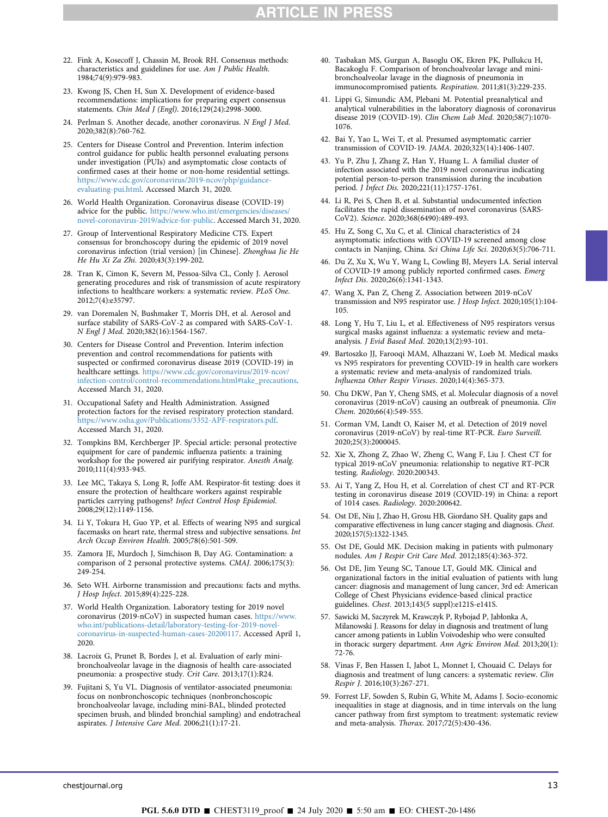- 22. Fink A, Kosecoff J, Chassin M, Brook RH. Consensus methods: characteristics and guidelines for use. Am J Public Health. 1984;74(9):979-983.
- 23. Kwong JS, Chen H, Sun X. Development of evidence-based recommendations: implications for preparing expert consensus statements. Chin Med J (Engl). 2016;129(24):2998-3000.
- <span id="page-14-0"></span>24. Perlman S. Another decade, another coronavirus. N Engl J Med. 2020;382(8):760-762.
- <span id="page-14-1"></span>25. Centers for Disease Control and Prevention. Interim infection control guidance for public health personnel evaluating persons under investigation (PUIs) and asymptomatic close contacts of confirmed cases at their home or non-home residential settings. [https://www.cdc.gov/coronavirus/2019-ncov/php/guidance](https://www.cdc.gov/coronavirus/2019-ncov/php/guidance-evaluating-pui.html)[evaluating-pui.html](https://www.cdc.gov/coronavirus/2019-ncov/php/guidance-evaluating-pui.html). Accessed March 31, 2020.
- <span id="page-14-2"></span>26. World Health Organization. Coronavirus disease (COVID-19) advice for the public. [https://www.who.int/emergencies/diseases/](https://www.who.int/emergencies/diseases/novel-coronavirus-2019/advice-for-public) [novel-coronavirus-2019/advice-for-public](https://www.who.int/emergencies/diseases/novel-coronavirus-2019/advice-for-public). Accessed March 31, 2020.
- <span id="page-14-3"></span>27. Group of Interventional Respiratory Medicine CTS. Expert consensus for bronchoscopy during the epidemic of 2019 novel coronavirus infection (trial version) [in Chinese]. Zhonghua Jie He He Hu Xi Za Zhi. 2020;43(3):199-202.
- <span id="page-14-4"></span>28. Tran K, Cimon K, Severn M, Pessoa-Silva CL, Conly J. Aerosol generating procedures and risk of transmission of acute respiratory infections to healthcare workers: a systematic review. PLoS One. 2012;7(4):e35797.
- <span id="page-14-5"></span>29. van Doremalen N, Bushmaker T, Morris DH, et al. Aerosol and surface stability of SARS-CoV-2 as compared with SARS-CoV-1. N Engl J Med. 2020;382(16):1564-1567.
- <span id="page-14-6"></span>30. Centers for Disease Control and Prevention. Interim infection prevention and control recommendations for patients with suspected or confirmed coronavirus disease 2019 (COVID-19) in healthcare settings. [https://www.cdc.gov/coronavirus/2019-ncov/](https://www.cdc.gov/coronavirus/2019-ncov/infection-control/control-recommendations.html#take_precautions) [infection-control/control-recommendations.html#take\\_precautions](https://www.cdc.gov/coronavirus/2019-ncov/infection-control/control-recommendations.html#take_precautions). Accessed March 31, 2020.
- <span id="page-14-7"></span>31. Occupational Safety and Health Administration. Assigned protection factors for the revised respiratory protection standard. [https://www.osha.gov/Publications/3352-APF-respirators.pdf.](https://www.osha.gov/Publications/3352-APF-respirators.pdf) Accessed March 31, 2020.
- <span id="page-14-8"></span>32. Tompkins BM, Kerchberger JP. Special article: personal protective equipment for care of pandemic influenza patients: a training workshop for the powered air purifying respirator. Anesth Analg. 2010;111(4):933-945.
- <span id="page-14-9"></span>33. Lee MC, Takaya S, Long R, Joffe AM. Respirator-fit testing: does it ensure the protection of healthcare workers against respirable particles carrying pathogens? Infect Control Hosp Epidemiol. 2008;29(12):1149-1156.
- <span id="page-14-10"></span>34. Li Y, Tokura H, Guo YP, et al. Effects of wearing N95 and surgical facemasks on heart rate, thermal stress and subjective sensations. Int Arch Occup Environ Health. 2005;78(6):501-509.
- <span id="page-14-11"></span>35. Zamora JE, Murdoch J, Simchison B, Day AG. Contamination: a comparison of 2 personal protective systems. CMAJ. 2006;175(3): 249-254.
- <span id="page-14-13"></span><span id="page-14-12"></span>36. Seto WH. Airborne transmission and precautions: facts and myths. J Hosp Infect. 2015;89(4):225-228.
- 37. World Health Organization. Laboratory testing for 2019 novel coronavirus (2019-nCoV) in suspected human cases. [https://www.](https://www.who.int/publications-detail/laboratory-testing-for-2019-novel-coronavirus-in-suspected-human-cases-20200117) [who.int/publications-detail/laboratory-testing-for-2019-novel](https://www.who.int/publications-detail/laboratory-testing-for-2019-novel-coronavirus-in-suspected-human-cases-20200117)[coronavirus-in-suspected-human-cases-20200117.](https://www.who.int/publications-detail/laboratory-testing-for-2019-novel-coronavirus-in-suspected-human-cases-20200117) Accessed April 1, 2020.
- <span id="page-14-14"></span>38. Lacroix G, Prunet B, Bordes J, et al. Evaluation of early minibronchoalveolar lavage in the diagnosis of health care-associated pneumonia: a prospective study. Crit Care. 2013;17(1):R24.
- 39. Fujitani S, Yu VL. Diagnosis of ventilator-associated pneumonia: focus on nonbronchoscopic techniques (nonbronchoscopic bronchoalveolar lavage, including mini-BAL, blinded protected specimen brush, and blinded bronchial sampling) and endotracheal aspirates. J Intensive Care Med. 2006;21(1):17-21.
- 40. Tasbakan MS, Gurgun A, Basoglu OK, Ekren PK, Pullukcu H, Bacakoglu F. Comparison of bronchoalveolar lavage and minibronchoalveolar lavage in the diagnosis of pneumonia in immunocompromised patients. Respiration. 2011;81(3):229-235.
- <span id="page-14-15"></span>41. Lippi G, Simundic AM, Plebani M. Potential preanalytical and analytical vulnerabilities in the laboratory diagnosis of coronavirus disease 2019 (COVID-19). Clin Chem Lab Med. 2020;58(7):1070- 1076.
- <span id="page-14-16"></span>42. Bai Y, Yao L, Wei T, et al. Presumed asymptomatic carrier transmission of COVID-19. JAMA. 2020;323(14):1406-1407.
- <span id="page-14-17"></span>43. Yu P, Zhu J, Zhang Z, Han Y, Huang L. A familial cluster of infection associated with the 2019 novel coronavirus indicating potential person-to-person transmission during the incubation period. J Infect Dis. 2020;221(11):1757-1761.
- <span id="page-14-18"></span>44. Li R, Pei S, Chen B, et al. Substantial undocumented infection facilitates the rapid dissemination of novel coronavirus (SARS-CoV2). Science. 2020;368(6490):489-493.
- <span id="page-14-19"></span>45. Hu Z, Song C, Xu C, et al. Clinical characteristics of 24 asymptomatic infections with COVID-19 screened among close contacts in Nanjing, China. Sci China Life Sci. 2020;63(5):706-711.
- <span id="page-14-20"></span>46. Du Z, Xu X, Wu Y, Wang L, Cowling BJ, Meyers LA. Serial interval of COVID-19 among publicly reported confirmed cases. Emerg Infect Dis. 2020;26(6):1341-1343.
- <span id="page-14-21"></span>47. Wang X, Pan Z, Cheng Z. Association between 2019-nCoV transmission and N95 respirator use. J Hosp Infect. 2020;105(1):104- 105.
- <span id="page-14-22"></span>48. Long Y, Hu T, Liu L, et al. Effectiveness of N95 respirators versus surgical masks against influenza: a systematic review and metaanalysis. J Evid Based Med. 2020;13(2):93-101.
- <span id="page-14-23"></span>49. Bartoszko JJ, Farooqi MAM, Alhazzani W, Loeb M. Medical masks vs N95 respirators for preventing COVID-19 in health care workers a systematic review and meta-analysis of randomized trials. Influenza Other Respir Viruses. 2020;14(4):365-373.
- <span id="page-14-24"></span>50. Chu DKW, Pan Y, Cheng SMS, et al. Molecular diagnosis of a novel coronavirus (2019-nCoV) causing an outbreak of pneumonia. Clin Chem. 2020;66(4):549-555.
- <span id="page-14-25"></span>51. Corman VM, Landt O, Kaiser M, et al. Detection of 2019 novel coronavirus (2019-nCoV) by real-time RT-PCR. Euro Surveill. 2020;25(3):2000045.
- <span id="page-14-26"></span>52. Xie X, Zhong Z, Zhao W, Zheng C, Wang F, Liu J. Chest CT for typical 2019-nCoV pneumonia: relationship to negative RT-PCR testing. Radiology. 2020:200343.
- <span id="page-14-27"></span>53. Ai T, Yang Z, Hou H, et al. Correlation of chest CT and RT-PCR testing in coronavirus disease 2019 (COVID-19) in China: a report of 1014 cases. Radiology. 2020:200642.
- <span id="page-14-28"></span>54. Ost DE, Niu J, Zhao H, Grosu HB, Giordano SH. Quality gaps and comparative effectiveness in lung cancer staging and diagnosis. Chest. 2020;157(5):1322-1345.
- <span id="page-14-29"></span>55. Ost DE, Gould MK. Decision making in patients with pulmonary nodules. Am J Respir Crit Care Med. 2012;185(4):363-372.
- <span id="page-14-30"></span>56. Ost DE, Jim Yeung SC, Tanoue LT, Gould MK. Clinical and organizational factors in the initial evaluation of patients with lung cancer: diagnosis and management of lung cancer, 3rd ed: American College of Chest Physicians evidence-based clinical practice guidelines. Chest. 2013;143(5 suppl):e121S-e141S.
- <span id="page-14-31"></span>57. Sawicki M, Szczyrek M, Krawczyk P, Rybojad P, Jabłonka A, Milanowski J. Reasons for delay in diagnosis and treatment of lung cancer among patients in Lublin Voivodeship who were consulted in thoracic surgery department. Ann Agric Environ Med. 2013;20(1): 72-76.
- 58. Vinas F, Ben Hassen I, Jabot L, Monnet I, Chouaid C. Delays for diagnosis and treatment of lung cancers: a systematic review. Clin Respir J. 2016;10(3):267-271.
- 59. Forrest LF, Sowden S, Rubin G, White M, Adams J. Socio-economic inequalities in stage at diagnosis, and in time intervals on the lung cancer pathway from first symptom to treatment: systematic review and meta-analysis. Thorax. 2017;72(5):430-436.